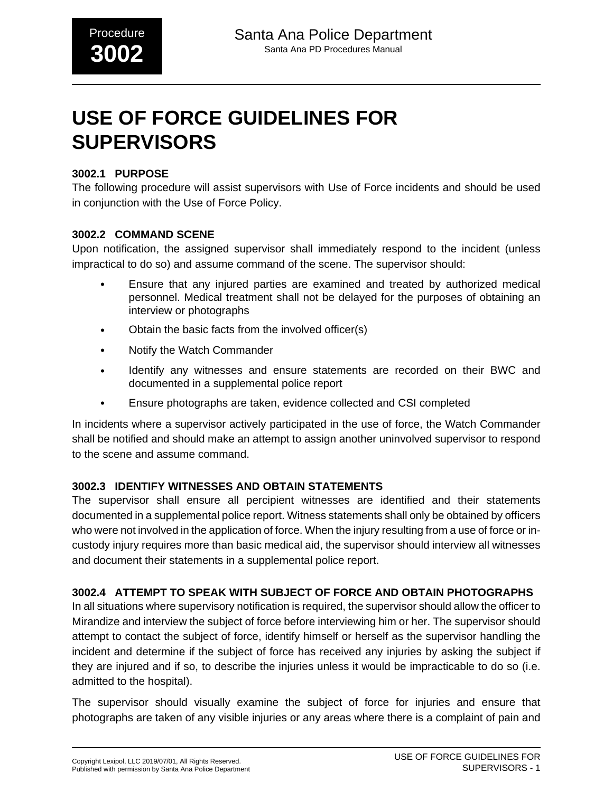# **USE OF FORCE GUIDELINES FOR SUPERVISORS**

#### **3002.1 PURPOSE**

The following procedure will assist supervisors with Use of Force incidents and should be used in conjunction with the Use of Force Policy.

#### **3002.2 COMMAND SCENE**

Upon notification, the assigned supervisor shall immediately respond to the incident (unless impractical to do so) and assume command of the scene. The supervisor should:

- Ensure that any injured parties are examined and treated by authorized medical personnel. Medical treatment shall not be delayed for the purposes of obtaining an interview or photographs
- Obtain the basic facts from the involved officer(s)
- Notify the Watch Commander
- Identify any witnesses and ensure statements are recorded on their BWC and documented in a supplemental police report
- Ensure photographs are taken, evidence collected and CSI completed

In incidents where a supervisor actively participated in the use of force, the Watch Commander shall be notified and should make an attempt to assign another uninvolved supervisor to respond to the scene and assume command.

## **3002.3 IDENTIFY WITNESSES AND OBTAIN STATEMENTS**

The supervisor shall ensure all percipient witnesses are identified and their statements documented in a supplemental police report. Witness statements shall only be obtained by officers who were not involved in the application of force. When the injury resulting from a use of force or incustody injury requires more than basic medical aid, the supervisor should interview all witnesses and document their statements in a supplemental police report.

## **3002.4 ATTEMPT TO SPEAK WITH SUBJECT OF FORCE AND OBTAIN PHOTOGRAPHS**

In all situations where supervisory notification is required, the supervisor should allow the officer to Mirandize and interview the subject of force before interviewing him or her. The supervisor should attempt to contact the subject of force, identify himself or herself as the supervisor handling the incident and determine if the subject of force has received any injuries by asking the subject if they are injured and if so, to describe the injuries unless it would be impracticable to do so (i.e. admitted to the hospital).

The supervisor should visually examine the subject of force for injuries and ensure that photographs are taken of any visible injuries or any areas where there is a complaint of pain and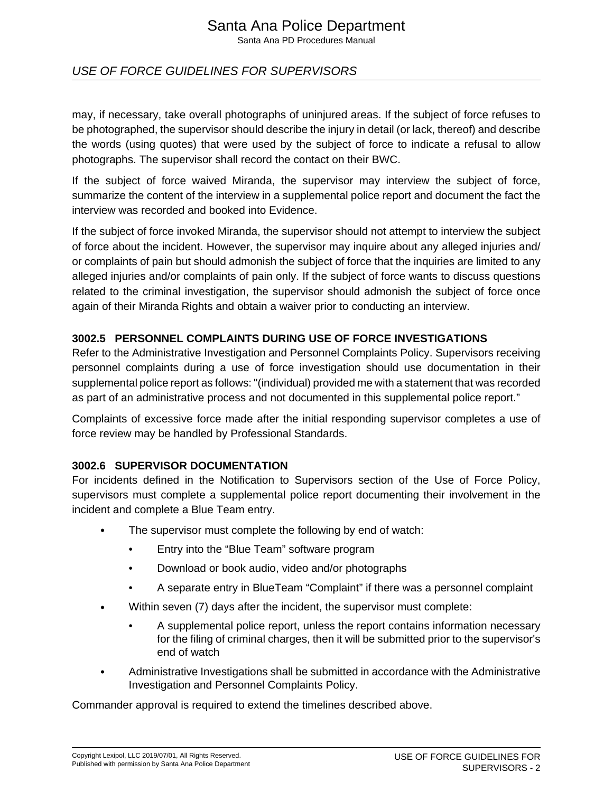# Santa Ana Police Department

Santa Ana PD Procedures Manual

# USE OF FORCE GUIDELINES FOR SUPERVISORS

may, if necessary, take overall photographs of uninjured areas. If the subject of force refuses to be photographed, the supervisor should describe the injury in detail (or lack, thereof) and describe the words (using quotes) that were used by the subject of force to indicate a refusal to allow photographs. The supervisor shall record the contact on their BWC.

If the subject of force waived Miranda, the supervisor may interview the subject of force, summarize the content of the interview in a supplemental police report and document the fact the interview was recorded and booked into Evidence.

If the subject of force invoked Miranda, the supervisor should not attempt to interview the subject of force about the incident. However, the supervisor may inquire about any alleged injuries and/ or complaints of pain but should admonish the subject of force that the inquiries are limited to any alleged injuries and/or complaints of pain only. If the subject of force wants to discuss questions related to the criminal investigation, the supervisor should admonish the subject of force once again of their Miranda Rights and obtain a waiver prior to conducting an interview.

#### **3002.5 PERSONNEL COMPLAINTS DURING USE OF FORCE INVESTIGATIONS**

Refer to the Administrative Investigation and Personnel Complaints Policy. Supervisors receiving personnel complaints during a use of force investigation should use documentation in their supplemental police report as follows: "(individual) provided me with a statement that was recorded as part of an administrative process and not documented in this supplemental police report."

Complaints of excessive force made after the initial responding supervisor completes a use of force review may be handled by Professional Standards.

#### **3002.6 SUPERVISOR DOCUMENTATION**

For incidents defined in the Notification to Supervisors section of the Use of Force Policy, supervisors must complete a supplemental police report documenting their involvement in the incident and complete a Blue Team entry.

- The supervisor must complete the following by end of watch:
	- Entry into the "Blue Team" software program
	- Download or book audio, video and/or photographs
	- A separate entry in BlueTeam "Complaint" if there was a personnel complaint
- Within seven (7) days after the incident, the supervisor must complete:
	- A supplemental police report, unless the report contains information necessary for the filing of criminal charges, then it will be submitted prior to the supervisor's end of watch
- Administrative Investigations shall be submitted in accordance with the Administrative Investigation and Personnel Complaints Policy.

Commander approval is required to extend the timelines described above.